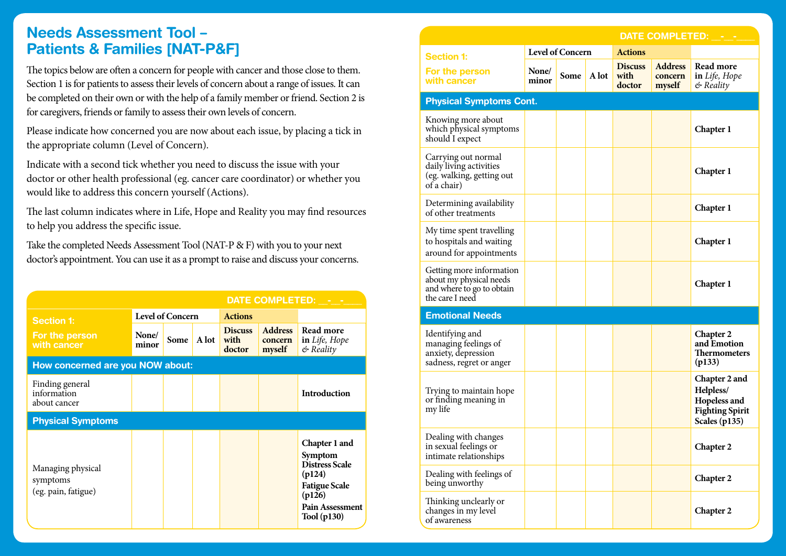## **Needs Assessment Tool – Patients & Families [NAT-P&F]**

The topics below are often a concern for people with cancer and those close to them. Section 1 is for patients to assess their levels of concern about a range of issues. It can be completed on their own or with the help of a family member or friend. Section 2 is for caregivers, friends or family to assess their own levels of concern.

Please indicate how concerned you are now about each issue, by placing a tick in the appropriate column (Level of Concern).

Indicate with a second tick whether you need to discuss the issue with your doctor or other health professional (eg. cancer care coordinator) or whether you would like to address this concern yourself (Actions).

The last column indicates where in Life, Hope and Reality you may find resources to help you address the specific issue.

Take the completed Needs Assessment Tool (NAT-P & F) with you to your next doctor's appointment. You can use it as a prompt to raise and discuss your concerns.

|                                                      |                  |      |       | DATE COMPLETED: - -              |                                     |                                                                                                                                 |  |  |
|------------------------------------------------------|------------------|------|-------|----------------------------------|-------------------------------------|---------------------------------------------------------------------------------------------------------------------------------|--|--|
| <b>Section 1:</b>                                    | Level of Concern |      |       | <b>Actions</b>                   |                                     |                                                                                                                                 |  |  |
| For the person<br>with cancer                        | None/<br>minor   | Some | A lot | <b>Discuss</b><br>with<br>doctor | <b>Address</b><br>concern<br>myself | Read more<br>in Life, Hope<br>$&$ Reality                                                                                       |  |  |
| How concerned are you NOW about:                     |                  |      |       |                                  |                                     |                                                                                                                                 |  |  |
| Finding general<br>information<br>about cancer       |                  |      |       |                                  |                                     | <b>Introduction</b>                                                                                                             |  |  |
| <b>Physical Symptoms</b>                             |                  |      |       |                                  |                                     |                                                                                                                                 |  |  |
| Managing physical<br>symptoms<br>(eg. pain, fatigue) |                  |      |       |                                  |                                     | Chapter 1 and<br>Symptom<br>Distress Scale<br>(p124)<br><b>Fatigue Scale</b><br>(p126)<br><b>Pain Assessment</b><br>Tool (p130) |  |  |

**116 117**

|                                                                                                     | <b>DATE COMPLETED:</b>  |      |                |                                  |                                     |                                                                                       |  |  |
|-----------------------------------------------------------------------------------------------------|-------------------------|------|----------------|----------------------------------|-------------------------------------|---------------------------------------------------------------------------------------|--|--|
| <b>Section 1:</b>                                                                                   | <b>Level of Concern</b> |      | <b>Actions</b> |                                  |                                     |                                                                                       |  |  |
| For the person<br>with cancer                                                                       | None/<br>minor          | Some | A lot          | <b>Discuss</b><br>with<br>doctor | <b>Address</b><br>concern<br>myself | Read more<br>in Life, Hope<br>& Reality                                               |  |  |
| <b>Physical Symptoms Cont.</b>                                                                      |                         |      |                |                                  |                                     |                                                                                       |  |  |
| Knowing more about<br>which physical symptoms<br>should I expect                                    |                         |      |                |                                  |                                     | Chapter 1                                                                             |  |  |
| Carrying out normal<br>daily living activities<br>(eg. walking, getting out<br>of a chair)          |                         |      |                |                                  |                                     | <b>Chapter 1</b>                                                                      |  |  |
| Determining availability<br>of other treatments                                                     |                         |      |                |                                  |                                     | <b>Chapter 1</b>                                                                      |  |  |
| My time spent travelling<br>to hospitals and waiting<br>around for appointments                     |                         |      |                |                                  |                                     | Chapter 1                                                                             |  |  |
| Getting more information<br>about my physical needs<br>and where to go to obtain<br>the care I need |                         |      |                |                                  |                                     | Chapter 1                                                                             |  |  |
| <b>Emotional Needs</b>                                                                              |                         |      |                |                                  |                                     |                                                                                       |  |  |
| Identifying and<br>managing feelings of<br>anxiety, depression<br>sadness, regret or anger          |                         |      |                |                                  |                                     | Chapter 2<br>and Emotion<br><b>Thermometers</b><br>(p133)                             |  |  |
| Trying to maintain hope<br>or finding meaning in<br>my life                                         |                         |      |                |                                  |                                     | Chapter 2 and<br>Helpless/<br>Hopeless and<br><b>Fighting Spirit</b><br>Scales (p135) |  |  |
| Dealing with changes<br>in sexual feelings or<br>intimate relationships                             |                         |      |                |                                  |                                     | Chapter 2                                                                             |  |  |
| Dealing with feelings of<br>being unworthy                                                          |                         |      |                |                                  |                                     | <b>Chapter 2</b>                                                                      |  |  |
| Thinking unclearly or<br>changes in my level<br>of awareness                                        |                         |      |                |                                  |                                     | <b>Chapter 2</b>                                                                      |  |  |